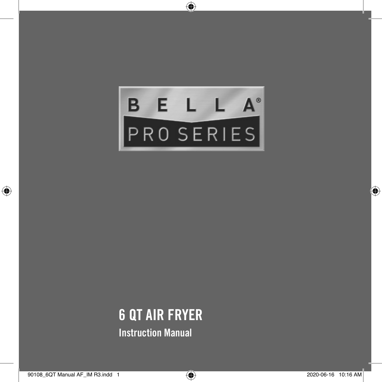

## **6 QT AIR FRYER Instruction Manual**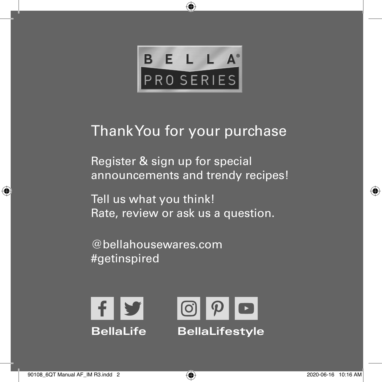

⊕

### Thank You for your purchase

Register & sign up for special announcements and trendy recipes!

Tell us what you think! Rate, review or ask us a question.

@bellahousewares.com #getinspired





 $\bigcirc$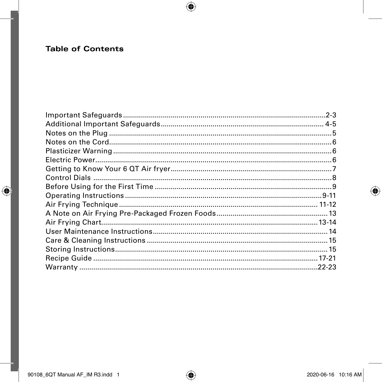#### **Table of Contents**

 $\bigoplus$ 

 $\bigoplus$ 

 $\bigoplus$ 

 $\bigcirc$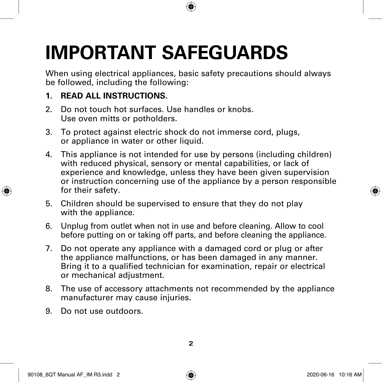# **IMPORTANT SAFEGUARDS**

When using electrical appliances, basic safety precautions should always be followed, including the following:

#### **1. READ ALL INSTRUCTIONS.**

- 2. Do not touch hot surfaces. Use handles or knobs. Use oven mitts or potholders.
- 3. To protect against electric shock do not immerse cord, plugs, or appliance in water or other liquid.
- 4. This appliance is not intended for use by persons (including children) with reduced physical, sensory or mental capabilities, or lack of experience and knowledge, unless they have been given supervision or instruction concerning use of the appliance by a person responsible for their safety.
- 5. Children should be supervised to ensure that they do not play with the appliance.
- 6. Unplug from outlet when not in use and before cleaning. Allow to cool before putting on or taking off parts, and before cleaning the appliance.
- 7. Do not operate any appliance with a damaged cord or plug or after the appliance malfunctions, or has been damaged in any manner. Bring it to a qualified technician for examination, repair or electrical or mechanical adjustment.
- 8. The use of accessory attachments not recommended by the appliance manufacturer may cause injuries.
- 9. Do not use outdoors.

◈

◈

**2**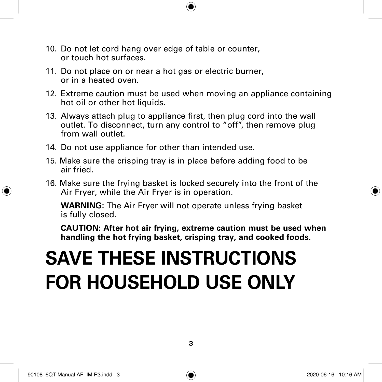- 10. Do not let cord hang over edge of table or counter, or touch hot surfaces.
- 11. Do not place on or near a hot gas or electric burner, or in a heated oven.
- 12. Extreme caution must be used when moving an appliance containing hot oil or other hot liquids.

♠

- 13. Always attach plug to appliance first, then plug cord into the wall outlet. To disconnect, turn any control to "off", then remove plug from wall outlet.
- 14. Do not use appliance for other than intended use.
- 15. Make sure the crisping tray is in place before adding food to be air fried.
- 16. Make sure the frying basket is locked securely into the front of the Air Fryer, while the Air Fryer is in operation.

**WARNING:** The Air Fryer will not operate unless frying basket is fully closed.

**CAUTION: After hot air frying, extreme caution must be used when handling the hot frying basket, crisping tray, and cooked foods.**

# **SAVE THESE INSTRUCTIONS FOR HOUSEHOLD USE ONLY**

◈

◈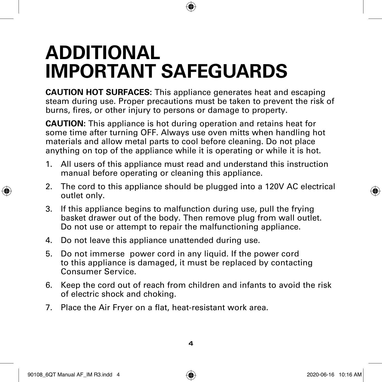## **ADDITIONAL IMPORTANT SAFEGUARDS**

**CAUTION HOT SURFACES:** This appliance generates heat and escaping steam during use. Proper precautions must be taken to prevent the risk of burns, fires, or other injury to persons or damage to property.

♠

**CAUTION:** This appliance is hot during operation and retains heat for some time after turning OFF. Always use oven mitts when handling hot materials and allow metal parts to cool before cleaning. Do not place anything on top of the appliance while it is operating or while it is hot.

- 1. All users of this appliance must read and understand this instruction manual before operating or cleaning this appliance.
- 2. The cord to this appliance should be plugged into a 120V AC electrical outlet only.
- 3. If this appliance begins to malfunction during use, pull the frying basket drawer out of the body. Then remove plug from wall outlet. Do not use or attempt to repair the malfunctioning appliance.
- 4. Do not leave this appliance unattended during use.
- 5. Do not immerse power cord in any liquid. If the power cord to this appliance is damaged, it must be replaced by contacting Consumer Service.
- 6. Keep the cord out of reach from children and infants to avoid the risk of electric shock and choking.
- 7. Place the Air Fryer on a flat, heat-resistant work area.

◈

◈

**4**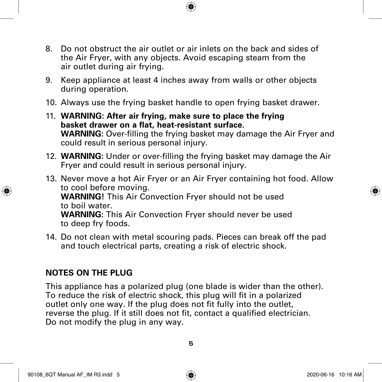8. Do not obstruct the air outlet or air inlets on the back and sides of the Air Fryer, with any objects. Avoid escaping steam from the air outlet during air frying.

⊕

- 9. Keep appliance at least 4 inches away from walls or other objects during operation.
- 10. Always use the frying basket handle to open frying basket drawer.
- 11. **WARNING: After air frying, make sure to place the frying basket drawer on a flat, heat-resistant surface. WARNING:** Over-filling the frying basket may damage the Air Fryer and could result in serious personal injury.
- 12. **WARNING:** Under or over-filling the frying basket may damage the Air Fryer and could result in serious personal injury.
- 13. Never move a hot Air Fryer or an Air Fryer containing hot food. Allow to cool before moving. **WARNING!** This Air Convection Fryer should not be used to boil water. **WARNING:** This Air Convection Fryer should never be used to deep fry foods.
- 14. Do not clean with metal scouring pads. Pieces can break off the pad and touch electrical parts, creating a risk of electric shock.

#### **NOTES ON THE PLUG**

◈

This appliance has a polarized plug (one blade is wider than the other). To reduce the risk of electric shock, this plug will fit in a polarized outlet only one way. If the plug does not fit fully into the outlet, reverse the plug. If it still does not fit, contact a qualified electrician. Do not modify the plug in any way.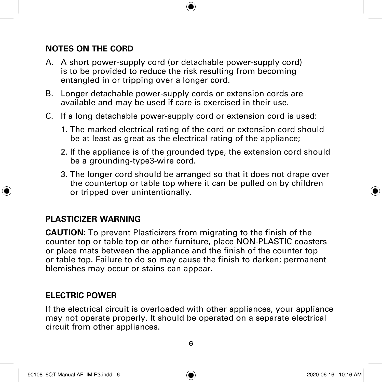#### **NOTES ON THE CORD**

- A. A short power-supply cord (or detachable power-supply cord) is to be provided to reduce the risk resulting from becoming entangled in or tripping over a longer cord.
- B. Longer detachable power-supply cords or extension cords are available and may be used if care is exercised in their use.
- C. If a long detachable power-supply cord or extension cord is used:
	- 1. The marked electrical rating of the cord or extension cord should be at least as great as the electrical rating of the appliance;
	- 2. If the appliance is of the grounded type, the extension cord should be a grounding-type3-wire cord.
	- 3. The longer cord should be arranged so that it does not drape over the countertop or table top where it can be pulled on by children or tripped over unintentionally.

#### **PLASTICIZER WARNING**

⊕

**CAUTION:** To prevent Plasticizers from migrating to the finish of the counter top or table top or other furniture, place NON-PLASTIC coasters or place mats between the appliance and the finish of the counter top or table top. Failure to do so may cause the finish to darken; permanent blemishes may occur or stains can appear.

#### **ELECTRIC POWER**

If the electrical circuit is overloaded with other appliances, your appliance may not operate properly. It should be operated on a separate electrical circuit from other appliances.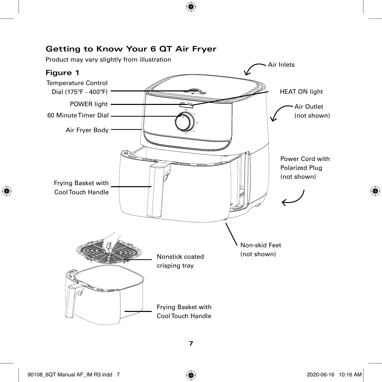

⊕

**7**

◈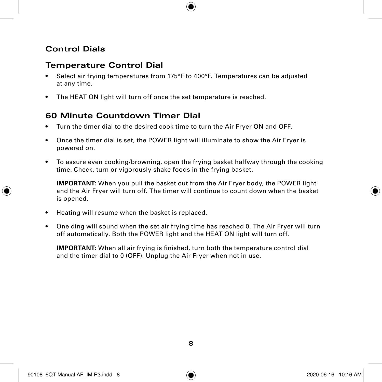#### **Control Dials**

◈

#### **Temperature Control Dial**

- Select air frying temperatures from 175°F to 400°F. Temperatures can be adjusted at any time.
- The HEAT ON light will turn off once the set temperature is reached.

#### **60 Minute Countdown Timer Dial**

- Turn the timer dial to the desired cook time to turn the Air Fryer ON and OFF.
- Once the timer dial is set, the POWER light will illuminate to show the Air Fryer is powered on.
- To assure even cooking/browning, open the frying basket halfway through the cooking time. Check, turn or vigorously shake foods in the frying basket.

**IMPORTANT:** When you pull the basket out from the Air Fryer body, the POWER light and the Air Fryer will turn off. The timer will continue to count down when the basket is opened.

- Heating will resume when the basket is replaced.
- One ding will sound when the set air frying time has reached 0. The Air Fryer will turn off automatically. Both the POWER light and the HEAT ON light will turn off.

**IMPORTANT:** When all air frying is finished, turn both the temperature control dial and the timer dial to 0 (OFF). Unplug the Air Fryer when not in use.

**8**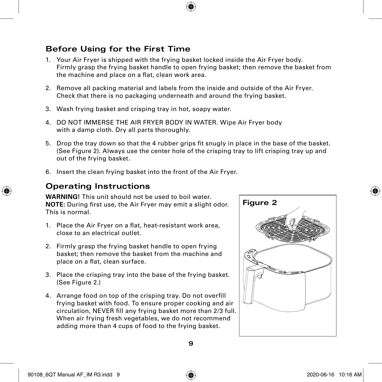#### **Before Using for the First Time**

- 1. Your Air Fryer is shipped with the frying basket locked inside the Air Fryer body. Firmly grasp the frying basket handle to open frying basket; then remove the basket from the machine and place on a flat, clean work area.
- 2. Remove all packing material and labels from the inside and outside of the Air Fryer. Check that there is no packaging underneath and around the frying basket.
- 3. Wash frying basket and crisping tray in hot, soapy water.
- 4. DO NOT IMMERSE THE AIR FRYER BODY IN WATER. Wipe Air Fryer body with a damp cloth. Dry all parts thoroughly.
- 5. Drop the tray down so that the 4 rubber grips fit snugly in place in the base of the basket. (See Figure 2). Always use the center hole of the crisping tray to lift crisping tray up and out of the frying basket.
- 6. Insert the clean frying basket into the front of the Air Fryer.

#### **Operating Instructions**

**WARNING!** This unit should not be used to boil water. **NOTE:** During first use, the Air Fryer may emit a slight odor. This is normal.

- 1. Place the Air Fryer on a flat, heat-resistant work area, close to an electrical outlet.
- 2. Firmly grasp the frying basket handle to open frying basket; then remove the basket from the machine and place on a flat, clean surface.
- 3. Place the crisping tray into the base of the frying basket. (See Figure 2.)
- 4. Arrange food on top of the crisping tray. Do not overfill frying basket with food. To ensure proper cooking and air circulation, NEVER fill any frying basket more than 2/3 full. When air frying fresh vegetables, we do not recommend adding more than 4 cups of food to the frying basket.



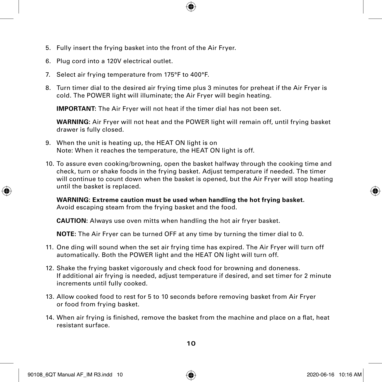- 5. Fully insert the frying basket into the front of the Air Fryer.
- 6. Plug cord into a 120V electrical outlet.
- 7. Select air frying temperature from 175°F to 400°F.
- 8. Turn timer dial to the desired air frying time plus 3 minutes for preheat if the Air Fryer is cold. The POWER light will illuminate; the Air Fryer will begin heating.

**IMPORTANT:** The Air Fryer will not heat if the timer dial has not been set.

**WARNING:** Air Fryer will not heat and the POWER light will remain off, until frying basket drawer is fully closed.

- 9. When the unit is heating up, the HEAT ON light is on Note: When it reaches the temperature, the HEAT ON light is off.
- 10. To assure even cooking/browning, open the basket halfway through the cooking time and check, turn or shake foods in the frying basket. Adjust temperature if needed. The timer will continue to count down when the basket is opened, but the Air Fryer will stop heating until the basket is replaced.

**WARNING: Extreme caution must be used when handling the hot frying basket.** Avoid escaping steam from the frying basket and the food.

**CAUTION:** Always use oven mitts when handling the hot air fryer basket.

**NOTE:** The Air Fryer can be turned OFF at any time by turning the timer dial to 0.

- 11. One ding will sound when the set air frying time has expired. The Air Fryer will turn off automatically. Both the POWER light and the HEAT ON light will turn off.
- 12. Shake the frying basket vigorously and check food for browning and doneness. If additional air frying is needed, adjust temperature if desired, and set timer for 2 minute increments until fully cooked.
- 13. Allow cooked food to rest for 5 to 10 seconds before removing basket from Air Fryer or food from frying basket.
- 14. When air frying is finished, remove the basket from the machine and place on a flat, heat resistant surface.

**10**

⊕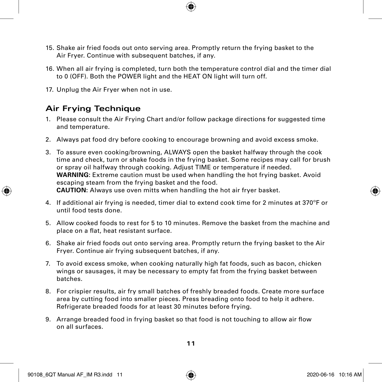- 15. Shake air fried foods out onto serving area. Promptly return the frying basket to the Air Fryer. Continue with subsequent batches, if any.
- 16. When all air frying is completed, turn both the temperature control dial and the timer dial to 0 (OFF). Both the POWER light and the HEAT ON light will turn off.
- 17. Unplug the Air Fryer when not in use.

#### **Air Frying Technique**

- 1. Please consult the Air Frying Chart and/or follow package directions for suggested time and temperature.
- 2. Always pat food dry before cooking to encourage browning and avoid excess smoke.
- 3. To assure even cooking/browning, ALWAYS open the basket halfway through the cook time and check, turn or shake foods in the frying basket. Some recipes may call for brush or spray oil halfway through cooking. Adjust TIME or temperature if needed. **WARNING:** Extreme caution must be used when handling the hot frying basket. Avoid escaping steam from the frying basket and the food. **CAUTION:** Always use oven mitts when handling the hot air fryer basket.
- 4. If additional air frying is needed, timer dial to extend cook time for 2 minutes at 370ºF or until food tests done.
- 5. Allow cooked foods to rest for 5 to 10 minutes. Remove the basket from the machine and place on a flat, heat resistant surface.
- 6. Shake air fried foods out onto serving area. Promptly return the frying basket to the Air Fryer. Continue air frying subsequent batches, if any.
- 7. To avoid excess smoke, when cooking naturally high fat foods, such as bacon, chicken wings or sausages, it may be necessary to empty fat from the frying basket between batches.
- 8. For crispier results, air fry small batches of freshly breaded foods. Create more surface area by cutting food into smaller pieces. Press breading onto food to help it adhere. Refrigerate breaded foods for at least 30 minutes before frying.
- 9. Arrange breaded food in frying basket so that food is not touching to allow air flow on all surfaces.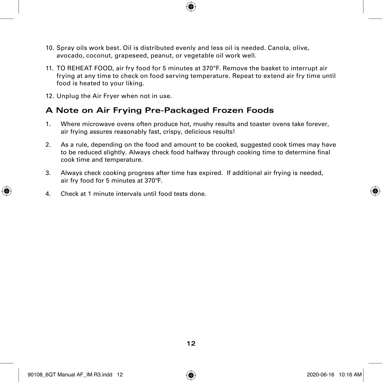- 10. Spray oils work best. Oil is distributed evenly and less oil is needed. Canola, olive, avocado, coconut, grapeseed, peanut, or vegetable oil work well.
- 11. TO REHEAT FOOD, air fry food for 5 minutes at 370ºF. Remove the basket to interrupt air frying at any time to check on food serving temperature. Repeat to extend air fry time until food is heated to your liking.
- 12. Unplug the Air Fryer when not in use.

#### **A Note on Air Frying Pre-Packaged Frozen Foods**

- 1. Where microwave ovens often produce hot, mushy results and toaster ovens take forever, air frying assures reasonably fast, crispy, delicious results!
- 2. As a rule, depending on the food and amount to be cooked, suggested cook times may have to be reduced slightly. Always check food halfway through cooking time to determine final cook time and temperature.
- 3. Always check cooking progress after time has expired. If additional air frying is needed, air fry food for 5 minutes at 370ºF.
- 4. Check at 1 minute intervals until food tests done.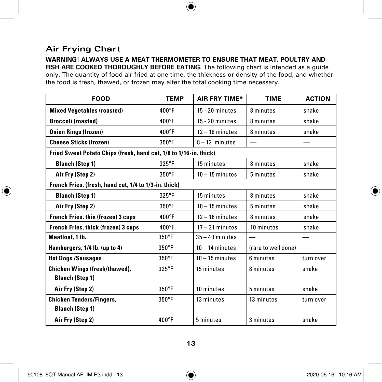#### **Air Frying Chart**

⊕

**WARNING! ALWAYS USE A MEAT THERMOMETER TO ENSURE THAT MEAT, POULTRY AND FISH ARE COOKED THOROUGHLY BEFORE EATING.** The following chart is intended as a guide only. The quantity of food air fried at one time, the thickness or density of the food, and whether the food is fresh, thawed, or frozen may alter the total cooking time necessary.

G

| <b>FOOD</b>                                                       | <b>TEMP</b>     | <b>AIR FRY TIME*</b> | <b>TIME</b>              | <b>ACTION</b>            |  |  |
|-------------------------------------------------------------------|-----------------|----------------------|--------------------------|--------------------------|--|--|
| <b>Mixed Vegetables (roasted)</b>                                 | $400^{\circ}$ F | $15 - 20$ minutes    | 8 minutes                | shake                    |  |  |
| <b>Broccoli (roasted)</b>                                         | $400^{\circ}$ F | $15 - 20$ minutes    | 8 minutes                | shake                    |  |  |
| <b>Onion Rings (frozen)</b>                                       | $400^{\circ}$ F | $12 - 18$ minutes    | 8 minutes                | shake                    |  |  |
| <b>Cheese Sticks (frozen)</b>                                     | 350°F           | $8 - 12$ minutes     |                          |                          |  |  |
| Fried Sweet Potato Chips (fresh, hand cut, 1/8 to 1/16-in. thick) |                 |                      |                          |                          |  |  |
| <b>Blanch (Step 1)</b>                                            | 325°F           | 15 minutes           | 8 minutes                | shake                    |  |  |
| Air Fry (Step 2)                                                  | 350°F           | $10 - 15$ minutes    | 5 minutes                | shake                    |  |  |
| French Fries, (fresh, hand cut, 1/4 to 1/3-in. thick)             |                 |                      |                          |                          |  |  |
| <b>Blanch (Step 1)</b>                                            | $325^{\circ}$ F | 15 minutes           | 8 minutes                | shake                    |  |  |
| Air Fry (Step 2)                                                  | 350°F           | $10 - 15$ minutes    | 5 minutes                | shake                    |  |  |
| French Fries, thin (frozen) 3 cups                                | $400^{\circ}$ F | $12 - 16$ minutes    | 8 minutes                | shake                    |  |  |
| French Fries, thick (frozen) 3 cups                               | $400^{\circ}$ F | $17 - 21$ minutes    | 10 minutes               | shake                    |  |  |
| Meatloaf, 1 lb.                                                   | $350^{\circ}$ F | $35 - 40$ minutes    | $\overline{\phantom{0}}$ | $\overline{\phantom{0}}$ |  |  |
| Hamburgers, 1/4 lb. (up to 4)                                     | $350^{\circ}$ F | $10 - 14$ minutes    | (rare to well done)      |                          |  |  |
| <b>Hot Dogs/Sausages</b>                                          | $350°$ F        | $10 - 15$ minutes    | 6 minutes                | turn over                |  |  |
| Chicken Wings (fresh/thawed),                                     | $325^{\circ}$ F | 15 minutes           | 8 minutes                | shake                    |  |  |
| <b>Blanch (Step 1)</b>                                            |                 |                      |                          |                          |  |  |
| Air Fry (Step 2)                                                  | $350^{\circ}$ F | 10 minutes           | 5 minutes                | shake                    |  |  |
| <b>Chicken Tenders/Fingers,</b>                                   | $350^{\circ}$ F | 13 minutes           | 13 minutes               | turn over                |  |  |
| <b>Blanch (Step 1)</b>                                            |                 |                      |                          |                          |  |  |
| Air Fry (Step 2)                                                  | $400^{\circ}$ F | 5 minutes            | 3 minutes                | shake                    |  |  |

◈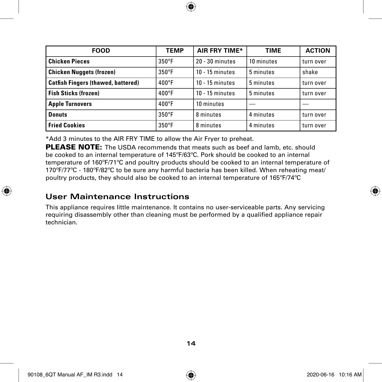| <b>FOOD</b>                               | <b>TEMP</b>     | <b>AIR FRY TIME*</b> | <b>TIME</b> | <b>ACTION</b> |
|-------------------------------------------|-----------------|----------------------|-------------|---------------|
| <b>Chicken Pieces</b>                     | $350^{\circ}$ F | $20 - 30$ minutes    | 10 minutes  | turn over     |
| <b>Chicken Nuggets (frozen)</b>           | $350^{\circ}$ F | $10 - 15$ minutes    | 5 minutes   | shake         |
| <b>Catfish Fingers (thawed, battered)</b> | $400^{\circ}$ F | $10 - 15$ minutes    | 5 minutes   | turn over     |
| <b>Fish Sticks (frozen)</b>               | $400^{\circ}$ F | $10 - 15$ minutes    | 5 minutes   | turn over     |
| <b>Apple Turnovers</b>                    | $400^{\circ}$ F | 10 minutes           |             |               |
| <b>Donuts</b>                             | $350^{\circ}$ F | 8 minutes            | 4 minutes   | turn over     |
| <b>Fried Cookies</b>                      | $350^{\circ}$ F | 8 minutes            | 4 minutes   | turn over     |

\*Add 3 minutes to the AIR FRY TIME to allow the Air Fryer to preheat.

PLEASE NOTE: The USDA recommends that meats such as beef and lamb, etc. should be cooked to an internal temperature of 145ºF/63ºC. Pork should be cooked to an internal temperature of 160ºF/71ºC and poultry products should be cooked to an internal temperature of 170ºF/77ºC - 180ºF/82ºC to be sure any harmful bacteria has been killed. When reheating meat/ poultry products, they should also be cooked to an internal temperature of 165ºF/74ºC

#### **User Maintenance Instructions**

This appliance requires little maintenance. It contains no user-serviceable parts. Any servicing requiring disassembly other than cleaning must be performed by a qualified appliance repair technician.

♠

**14**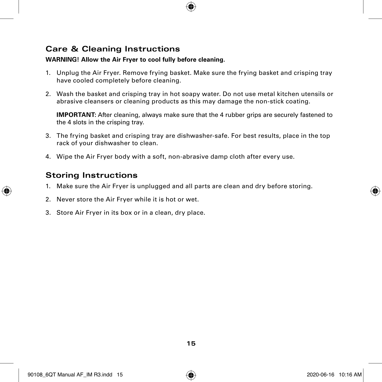#### **Care & Cleaning Instructions**

#### **WARNING! Allow the Air Fryer to cool fully before cleaning.**

- 1. Unplug the Air Fryer. Remove frying basket. Make sure the frying basket and crisping tray have cooled completely before cleaning.
- 2. Wash the basket and crisping tray in hot soapy water. Do not use metal kitchen utensils or abrasive cleansers or cleaning products as this may damage the non-stick coating.

**IMPORTANT:** After cleaning, always make sure that the 4 rubber grips are securely fastened to the 4 slots in the crisping tray.

- 3. The frying basket and crisping tray are dishwasher-safe. For best results, place in the top rack of your dishwasher to clean.
- 4. Wipe the Air Fryer body with a soft, non-abrasive damp cloth after every use.

#### **Storing Instructions**

◈

- 1. Make sure the Air Fryer is unplugged and all parts are clean and dry before storing.
- 2. Never store the Air Fryer while it is hot or wet.
- 3. Store Air Fryer in its box or in a clean, dry place.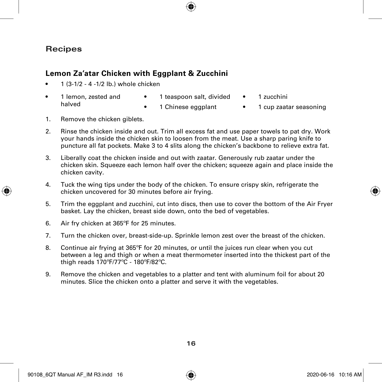⊕

#### **Lemon Za'atar Chicken with Eggplant & Zucchini**

- 1 (3-1/2 4 -1/2 lb.) whole chicken
- 1 lemon, zested and halved
- 1 teaspoon salt, divided
- 1 zucchini
- 1 Chinese eggplant
- 1 cup zaatar seasoning

- 1. Remove the chicken giblets.
- 2. Rinse the chicken inside and out. Trim all excess fat and use paper towels to pat dry. Work your hands inside the chicken skin to loosen from the meat. Use a sharp paring knife to puncture all fat pockets. Make 3 to 4 slits along the chicken's backbone to relieve extra fat.
- 3. Liberally coat the chicken inside and out with zaatar. Generously rub zaatar under the chicken skin. Squeeze each lemon half over the chicken; squeeze again and place inside the chicken cavity.
- 4. Tuck the wing tips under the body of the chicken. To ensure crispy skin, refrigerate the chicken uncovered for 30 minutes before air frying.
- 5. Trim the eggplant and zucchini, cut into discs, then use to cover the bottom of the Air Fryer basket. Lay the chicken, breast side down, onto the bed of vegetables.
- 6. Air fry chicken at 365ºF for 25 minutes.
- 7. Turn the chicken over, breast-side-up. Sprinkle lemon zest over the breast of the chicken.
- 8. Continue air frying at 365ºF for 20 minutes, or until the juices run clear when you cut between a leg and thigh or when a meat thermometer inserted into the thickest part of the thigh reads 170ºF/77ºC - 180ºF/82ºC.
- 9. Remove the chicken and vegetables to a platter and tent with aluminum foil for about 20 minutes. Slice the chicken onto a platter and serve it with the vegetables.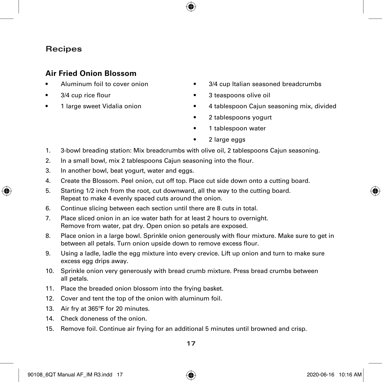⊕

#### **Air Fried Onion Blossom**

- Aluminum foil to cover onion
- 3/4 cup rice flour
- 1 large sweet Vidalia onion
- 3/4 cup Italian seasoned breadcrumbs
- 3 teaspoons olive oil
- 4 tablespoon Cajun seasoning mix, divided
- 2 tablespoons yogurt
- 1 tablespoon water
- 2 large eggs
- 1. 3-bowl breading station: Mix breadcrumbs with olive oil, 2 tablespoons Cajun seasoning.
- 2. In a small bowl, mix 2 tablespoons Cajun seasoning into the flour.
- 3. In another bowl, beat yogurt, water and eggs.
- 4. Create the Blossom. Peel onion, cut off top. Place cut side down onto a cutting board.
- 5. Starting 1/2 inch from the root, cut downward, all the way to the cutting board. Repeat to make 4 evenly spaced cuts around the onion.
- 6. Continue slicing between each section until there are 8 cuts in total.
- 7. Place sliced onion in an ice water bath for at least 2 hours to overnight. Remove from water, pat dry. Open onion so petals are exposed.
- 8. Place onion in a large bowl. Sprinkle onion generously with flour mixture. Make sure to get in between all petals. Turn onion upside down to remove excess flour.
- 9. Using a ladle, ladle the egg mixture into every crevice. Lift up onion and turn to make sure excess egg drips away.
- 10. Sprinkle onion very generously with bread crumb mixture. Press bread crumbs between all petals.
- 11. Place the breaded onion blossom into the frying basket.
- 12. Cover and tent the top of the onion with aluminum foil.
- 13. Air fry at 365ºF for 20 minutes.
- 14. Check doneness of the onion.
- 15. Remove foil. Continue air frying for an additional 5 minutes until browned and crisp.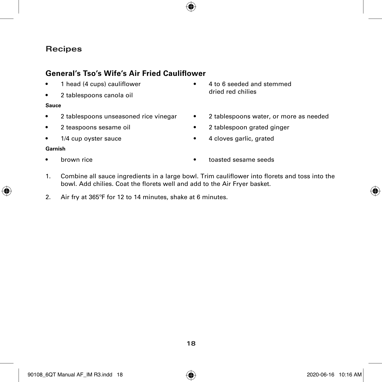#### **General's Tso's Wife's Air Fried Cauliflower**

- 1 head (4 cups) cauliflower
- 2 tablespoons canola oil

#### **Sauce**

- 2 tablespoons unseasoned rice vinegar
- 2 teaspoons sesame oil
- 1/4 cup oyster sauce
- 4 to 6 seeded and stemmed dried red chilies
- 2 tablespoons water, or more as needed
- 2 tablespoon grated ginger
- 4 cloves garlic, grated

#### **Garnish**

⊕

- 
- **brown rice •** toasted sesame seeds
- 1. Combine all sauce ingredients in a large bowl. Trim cauliflower into florets and toss into the bowl. Add chilies. Coat the florets well and add to the Air Fryer basket.

⊕

2. Air fry at 365ºF for 12 to 14 minutes, shake at 6 minutes.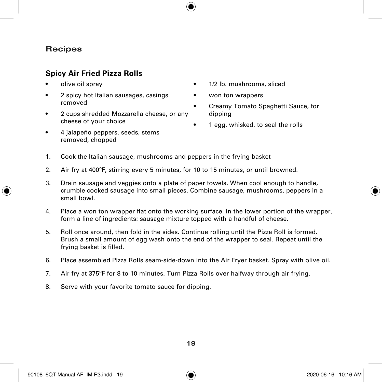⊕

#### **Spicy Air Fried Pizza Rolls**

- olive oil spray
- 2 spicy hot Italian sausages, casings removed
- 2 cups shredded Mozzarella cheese, or any cheese of your choice
- 4 jalapeño peppers, seeds, stems removed, chopped
- 1/2 lb. mushrooms, sliced
- won ton wrappers
- Creamy Tomato Spaghetti Sauce, for dipping
- 1 egg, whisked, to seal the rolls
- 1. Cook the Italian sausage, mushrooms and peppers in the frying basket
- 2. Air fry at 400ºF, stirring every 5 minutes, for 10 to 15 minutes, or until browned.
- 3. Drain sausage and veggies onto a plate of paper towels. When cool enough to handle, crumble cooked sausage into small pieces. Combine sausage, mushrooms, peppers in a small bowl.
- 4. Place a won ton wrapper flat onto the working surface. In the lower portion of the wrapper, form a line of ingredients: sausage mixture topped with a handful of cheese.
- 5. Roll once around, then fold in the sides. Continue rolling until the Pizza Roll is formed. Brush a small amount of egg wash onto the end of the wrapper to seal. Repeat until the frying basket is filled.
- 6. Place assembled Pizza Rolls seam-side-down into the Air Fryer basket. Spray with olive oil.
- 7. Air fry at 375ºF for 8 to 10 minutes. Turn Pizza Rolls over halfway through air frying.
- 8. Serve with your favorite tomato sauce for dipping.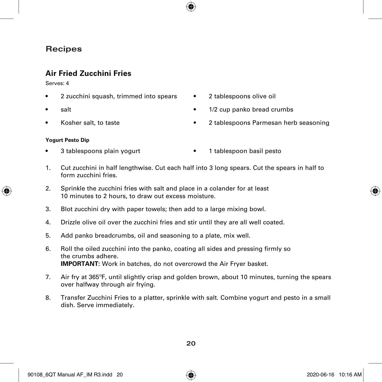#### **Air Fried Zucchini Fries**

Serves: 4

- 2 zucchini squash, trimmed into spears
- salt

⊕

- 2 tablespoons olive oil
- 1/2 cup panko bread crumbs
- 2 tablespoons Parmesan herb seasoning

#### **Yogurt Pesto Dip**

• 3 tablespoons plain yogurt • 1 tablespoon basil pesto

• Kosher salt, to taste

- 
- 1. Cut zucchini in half lengthwise. Cut each half into 3 long spears. Cut the spears in half to form zucchini fries.
- 2. Sprinkle the zucchini fries with salt and place in a colander for at least 10 minutes to 2 hours, to draw out excess moisture.
- 3. Blot zucchini dry with paper towels; then add to a large mixing bowl.
- 4. Drizzle olive oil over the zucchini fries and stir until they are all well coated.
- 5. Add panko breadcrumbs, oil and seasoning to a plate, mix well.
- 6. Roll the oiled zucchini into the panko, coating all sides and pressing firmly so the crumbs adhere. **IMPORTANT:** Work in batches, do not overcrowd the Air Fryer basket.
- 7. Air fry at 365ºF, until slightly crisp and golden brown, about 10 minutes, turning the spears over halfway through air frying.
- 8. Transfer Zucchini Fries to a platter, sprinkle with salt. Combine yogurt and pesto in a small dish. Serve immediately.

**20**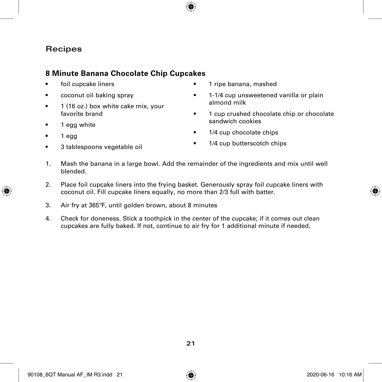#### **8 Minute Banana Chocolate Chip Cupcakes**

- foil cupcake liners
- coconut oil baking spray
- 1 (16 oz.) box white cake mix, your favorite brand
- 1 egg white
- 1 egg

€

• 3 tablespoons vegetable oil

- 1 ripe banana, mashed
- 1-1/4 cup unsweetened vanilla or plain almond milk
- 1 cup crushed chocolate chip or chocolate sandwich cookies
- 1/4 cup chocolate chips
- 1/4 cup butterscotch chips
- 1. Mash the banana in a large bowl. Add the remainder of the ingredients and mix until well blended.

⊕

- 2. Place foil cupcake liners into the frying basket. Generously spray foil cupcake liners with coconut oil. Fill cupcake liners equally, no more than 2/3 full with batter.
- 3. Air fry at 365ºF, until golden brown, about 8 minutes
- 4. Check for doneness. Stick a toothpick in the center of the cupcake; if it comes out clean cupcakes are fully baked. If not, continue to air fry for 1 additional minute if needed.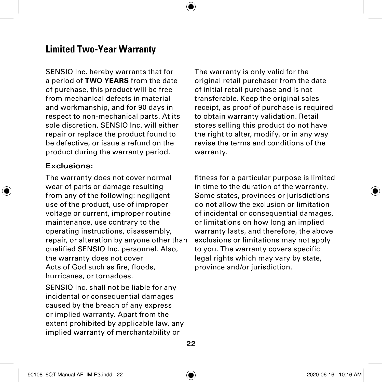#### **Limited Two-Year Warranty**

SENSIO Inc. hereby warrants that for a period of **TWO YEARS** from the date of purchase, this product will be free from mechanical defects in material and workmanship, and for 90 days in respect to non-mechanical parts. At its sole discretion, SENSIO Inc. will either repair or replace the product found to be defective, or issue a refund on the product during the warranty period.

#### **Exclusions:**

€

The warranty does not cover normal wear of parts or damage resulting from any of the following: negligent use of the product, use of improper voltage or current, improper routine maintenance, use contrary to the operating instructions, disassembly, repair, or alteration by anyone other than qualified SENSIO Inc. personnel. Also, the warranty does not cover Acts of God such as fire, floods, hurricanes, or tornadoes.

SENSIO Inc. shall not be liable for any incidental or consequential damages caused by the breach of any express or implied warranty. Apart from the extent prohibited by applicable law, any implied warranty of merchantability or

The warranty is only valid for the original retail purchaser from the date of initial retail purchase and is not transferable. Keep the original sales receipt, as proof of purchase is required to obtain warranty validation. Retail stores selling this product do not have the right to alter, modify, or in any way revise the terms and conditions of the warranty.

fitness for a particular purpose is limited in time to the duration of the warranty. Some states, provinces or jurisdictions do not allow the exclusion or limitation of incidental or consequential damages, or limitations on how long an implied warranty lasts, and therefore, the above exclusions or limitations may not apply to you. The warranty covers specific legal rights which may vary by state, province and/or jurisdiction.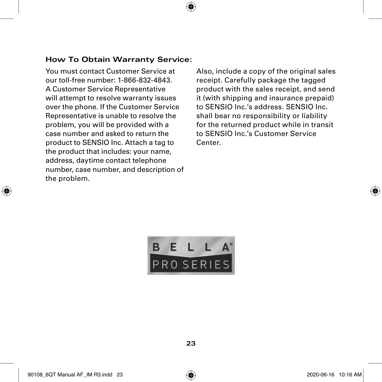#### **How To Obtain Warranty Service:**

You must contact Customer Service at our toll-free number: 1-866-832-4843. A Customer Service Representative will attempt to resolve warranty issues over the phone. If the Customer Service Representative is unable to resolve the problem, you will be provided with a case number and asked to return the product to SENSIO Inc. Attach a tag to the product that includes: your name, address, daytime contact telephone number, case number, and description of the problem.

Also, include a copy of the original sales receipt. Carefully package the tagged product with the sales receipt, and send it (with shipping and insurance prepaid) to SENSIO Inc.'s address. SENSIO Inc. shall bear no responsibility or liability for the returned product while in transit to SENSIO Inc.'s Customer Service Center.



♠

◈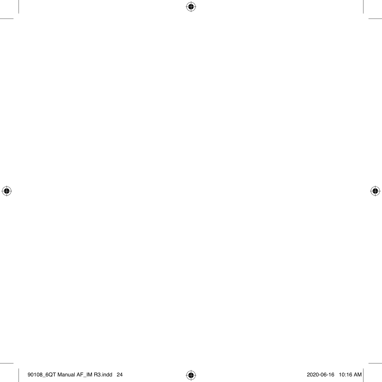

90108\_6QT Manual AF\_IM R3.indd 24 2020-06-16 10:16 AM

 $\bigoplus$ 

 $\bigoplus$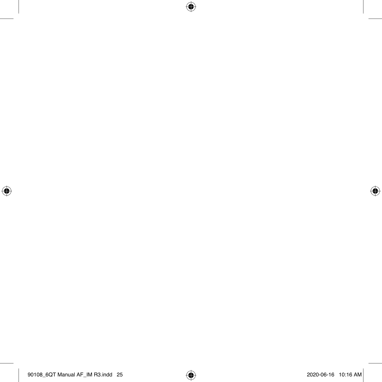

90108\_6QT Manual AF\_IM R3.indd 25 2020-06-16 10:16 AM

 $\bigoplus$ 

 $\bigoplus$